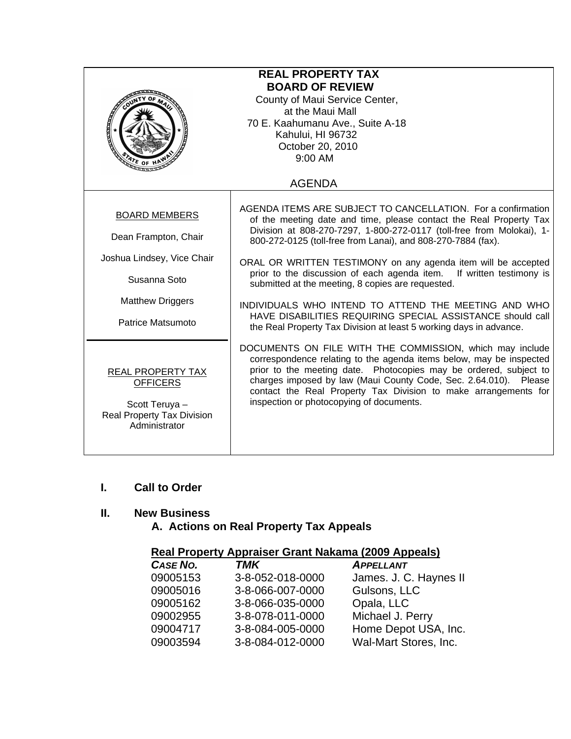| <b>REAL PROPERTY TAX</b><br><b>BOARD OF REVIEW</b><br>County of Maui Service Center,<br>at the Maui Mall<br>70 E. Kaahumanu Ave., Suite A-18<br>Kahului, HI 96732<br>October 20, 2010<br>$9:00$ AM<br>$\frac{d}{dt}$ of |                                                                                                                                                                                                                                                                                                                                                                                                                                                                                                                                                                                                                                                                       |  |
|-------------------------------------------------------------------------------------------------------------------------------------------------------------------------------------------------------------------------|-----------------------------------------------------------------------------------------------------------------------------------------------------------------------------------------------------------------------------------------------------------------------------------------------------------------------------------------------------------------------------------------------------------------------------------------------------------------------------------------------------------------------------------------------------------------------------------------------------------------------------------------------------------------------|--|
|                                                                                                                                                                                                                         | <b>AGENDA</b>                                                                                                                                                                                                                                                                                                                                                                                                                                                                                                                                                                                                                                                         |  |
| <b>BOARD MEMBERS</b><br>Dean Frampton, Chair<br>Joshua Lindsey, Vice Chair<br>Susanna Soto<br><b>Matthew Driggers</b><br>Patrice Matsumoto                                                                              | AGENDA ITEMS ARE SUBJECT TO CANCELLATION. For a confirmation<br>of the meeting date and time, please contact the Real Property Tax<br>Division at 808-270-7297, 1-800-272-0117 (toll-free from Molokai), 1-<br>800-272-0125 (toll-free from Lanai), and 808-270-7884 (fax).<br>ORAL OR WRITTEN TESTIMONY on any agenda item will be accepted<br>prior to the discussion of each agenda item. If written testimony is<br>submitted at the meeting, 8 copies are requested.<br>INDIVIDUALS WHO INTEND TO ATTEND THE MEETING AND WHO<br>HAVE DISABILITIES REQUIRING SPECIAL ASSISTANCE should call<br>the Real Property Tax Division at least 5 working days in advance. |  |
| REAL PROPERTY TAX<br><b>OFFICERS</b><br>Scott Teruya -<br>Real Property Tax Division<br>Administrator                                                                                                                   | DOCUMENTS ON FILE WITH THE COMMISSION, which may include<br>correspondence relating to the agenda items below, may be inspected<br>prior to the meeting date. Photocopies may be ordered, subject to<br>charges imposed by law (Maui County Code, Sec. 2.64.010). Please<br>contact the Real Property Tax Division to make arrangements for<br>inspection or photocopying of documents.                                                                                                                                                                                                                                                                               |  |

### **I. Call to Order**

## **II. New Business**

# **A. Actions on Real Property Tax Appeals**

# **Real Property Appraiser Grant Nakama (2009 Appeals)**

| CASE NO. | <b>TMK</b>       | <b>APPELLANT</b>       |
|----------|------------------|------------------------|
| 09005153 | 3-8-052-018-0000 | James. J. C. Haynes II |
| 09005016 | 3-8-066-007-0000 | Gulsons, LLC           |
| 09005162 | 3-8-066-035-0000 | Opala, LLC             |
| 09002955 | 3-8-078-011-0000 | Michael J. Perry       |
| 09004717 | 3-8-084-005-0000 | Home Depot USA, Inc.   |
| 09003594 | 3-8-084-012-0000 | Wal-Mart Stores, Inc.  |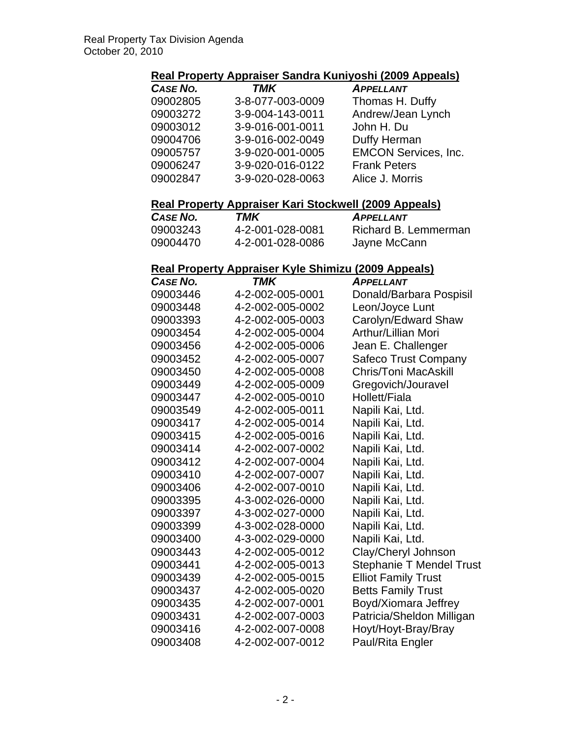#### **Real Property Appraiser Sandra Kuniyoshi (2009 Appeals)**

| CASE NO. | <b>TMK</b>       | <b>APPELLANT</b>            |
|----------|------------------|-----------------------------|
| 09002805 | 3-8-077-003-0009 | Thomas H. Duffy             |
| 09003272 | 3-9-004-143-0011 | Andrew/Jean Lynch           |
| 09003012 | 3-9-016-001-0011 | John H. Du                  |
| 09004706 | 3-9-016-002-0049 | Duffy Herman                |
| 09005757 | 3-9-020-001-0005 | <b>EMCON Services, Inc.</b> |
| 09006247 | 3-9-020-016-0122 | <b>Frank Peters</b>         |
| 09002847 | 3-9-020-028-0063 | Alice J. Morris             |

## **Real Property Appraiser Kari Stockwell (2009 Appeals)**

| CASE NO. | TMK              | <b>APPELLANT</b>     |
|----------|------------------|----------------------|
| 09003243 | 4-2-001-028-0081 | Richard B. Lemmerman |
| 09004470 | 4-2-001-028-0086 | Jayne McCann         |

#### **Real Property Appraiser Kyle Shimizu (2009 Appeals)**

| CASE NO. | TMK              | <b>APPELLANT</b>                |
|----------|------------------|---------------------------------|
| 09003446 | 4-2-002-005-0001 | Donald/Barbara Pospisil         |
| 09003448 | 4-2-002-005-0002 | Leon/Joyce Lunt                 |
| 09003393 | 4-2-002-005-0003 | Carolyn/Edward Shaw             |
| 09003454 | 4-2-002-005-0004 | Arthur/Lillian Mori             |
| 09003456 | 4-2-002-005-0006 | Jean E. Challenger              |
| 09003452 | 4-2-002-005-0007 | <b>Safeco Trust Company</b>     |
| 09003450 | 4-2-002-005-0008 | <b>Chris/Toni MacAskill</b>     |
| 09003449 | 4-2-002-005-0009 | Gregovich/Jouravel              |
| 09003447 | 4-2-002-005-0010 | Hollett/Fiala                   |
| 09003549 | 4-2-002-005-0011 | Napili Kai, Ltd.                |
| 09003417 | 4-2-002-005-0014 | Napili Kai, Ltd.                |
| 09003415 | 4-2-002-005-0016 | Napili Kai, Ltd.                |
| 09003414 | 4-2-002-007-0002 | Napili Kai, Ltd.                |
| 09003412 | 4-2-002-007-0004 | Napili Kai, Ltd.                |
| 09003410 | 4-2-002-007-0007 | Napili Kai, Ltd.                |
| 09003406 | 4-2-002-007-0010 | Napili Kai, Ltd.                |
| 09003395 | 4-3-002-026-0000 | Napili Kai, Ltd.                |
| 09003397 | 4-3-002-027-0000 | Napili Kai, Ltd.                |
| 09003399 | 4-3-002-028-0000 | Napili Kai, Ltd.                |
| 09003400 | 4-3-002-029-0000 | Napili Kai, Ltd.                |
| 09003443 | 4-2-002-005-0012 | Clay/Cheryl Johnson             |
| 09003441 | 4-2-002-005-0013 | <b>Stephanie T Mendel Trust</b> |
| 09003439 | 4-2-002-005-0015 | <b>Elliot Family Trust</b>      |
| 09003437 | 4-2-002-005-0020 | <b>Betts Family Trust</b>       |
| 09003435 | 4-2-002-007-0001 | Boyd/Xiomara Jeffrey            |
| 09003431 | 4-2-002-007-0003 | Patricia/Sheldon Milligan       |
| 09003416 | 4-2-002-007-0008 | Hoyt/Hoyt-Bray/Bray             |
| 09003408 | 4-2-002-007-0012 | <b>Paul/Rita Engler</b>         |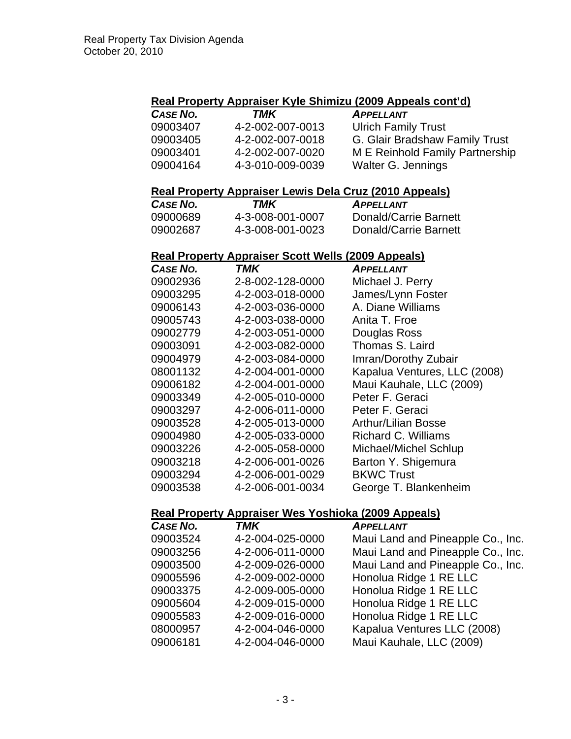# **Real Property Appraiser Kyle Shimizu (2009 Appeals cont'd)**

| CASE NO. | TMK              | <b>APPELLANT</b>                |
|----------|------------------|---------------------------------|
| 09003407 | 4-2-002-007-0013 | <b>Ulrich Family Trust</b>      |
| 09003405 | 4-2-002-007-0018 | G. Glair Bradshaw Family Trust  |
| 09003401 | 4-2-002-007-0020 | M E Reinhold Family Partnership |
| 09004164 | 4-3-010-009-0039 | Walter G. Jennings              |

## **Real Property Appraiser Lewis Dela Cruz (2010 Appeals)**

| CASE NO. | TMK              | <b>APPELLANT</b>      |
|----------|------------------|-----------------------|
| 09000689 | 4-3-008-001-0007 | Donald/Carrie Barnett |
| 09002687 | 4-3-008-001-0023 | Donald/Carrie Barnett |

#### **Real Property Appraiser Scott Wells (2009 Appeals)**

| CASE NO. | TMK              | <b>APPELLANT</b>             |
|----------|------------------|------------------------------|
| 09002936 | 2-8-002-128-0000 | Michael J. Perry             |
| 09003295 | 4-2-003-018-0000 | James/Lynn Foster            |
| 09006143 | 4-2-003-036-0000 | A. Diane Williams            |
| 09005743 | 4-2-003-038-0000 | Anita T. Froe                |
| 09002779 | 4-2-003-051-0000 | Douglas Ross                 |
| 09003091 | 4-2-003-082-0000 | Thomas S. Laird              |
| 09004979 | 4-2-003-084-0000 | Imran/Dorothy Zubair         |
| 08001132 | 4-2-004-001-0000 | Kapalua Ventures, LLC (2008) |
| 09006182 | 4-2-004-001-0000 | Maui Kauhale, LLC (2009)     |
| 09003349 | 4-2-005-010-0000 | Peter F. Geraci              |
| 09003297 | 4-2-006-011-0000 | Peter F. Geraci              |
| 09003528 | 4-2-005-013-0000 | <b>Arthur/Lilian Bosse</b>   |
| 09004980 | 4-2-005-033-0000 | Richard C. Williams          |
| 09003226 | 4-2-005-058-0000 | Michael/Michel Schlup        |
| 09003218 | 4-2-006-001-0026 | Barton Y. Shigemura          |
| 09003294 | 4-2-006-001-0029 | <b>BKWC Trust</b>            |
| 09003538 | 4-2-006-001-0034 | George T. Blankenheim        |

#### **Real Property Appraiser Wes Yoshioka (2009 Appeals)**

| CASE NO. | <b>TMK</b>       | <b>APPELLANT</b>                  |
|----------|------------------|-----------------------------------|
| 09003524 | 4-2-004-025-0000 | Maui Land and Pineapple Co., Inc. |
| 09003256 | 4-2-006-011-0000 | Maui Land and Pineapple Co., Inc. |
| 09003500 | 4-2-009-026-0000 | Maui Land and Pineapple Co., Inc. |
| 09005596 | 4-2-009-002-0000 | Honolua Ridge 1 RE LLC            |
| 09003375 | 4-2-009-005-0000 | Honolua Ridge 1 RE LLC            |
| 09005604 | 4-2-009-015-0000 | Honolua Ridge 1 RE LLC            |
| 09005583 | 4-2-009-016-0000 | Honolua Ridge 1 RE LLC            |
| 08000957 | 4-2-004-046-0000 | Kapalua Ventures LLC (2008)       |
| 09006181 | 4-2-004-046-0000 | Maui Kauhale, LLC (2009)          |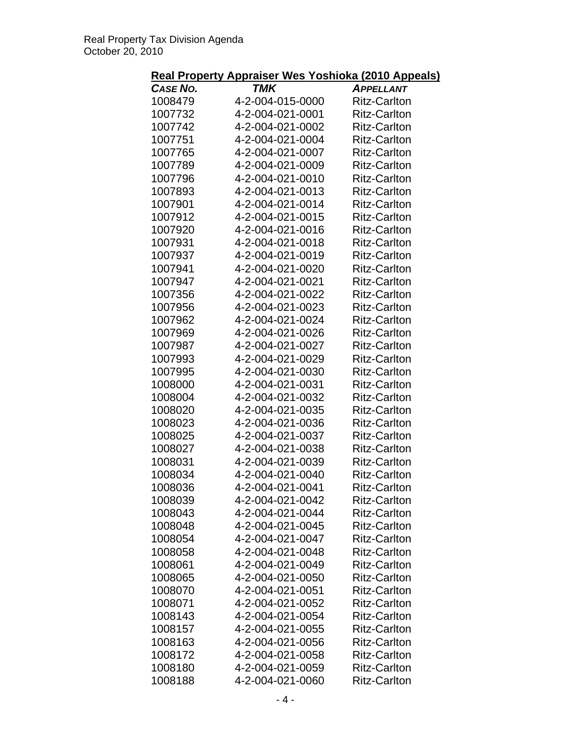# **Real Property Appraiser Wes Yoshioka (2010 Appeals)**

| .               | <u>190.000</u>   | $-1$                |
|-----------------|------------------|---------------------|
| <b>CASE NO.</b> | TMK              | <b>APPELLANT</b>    |
| 1008479         | 4-2-004-015-0000 | <b>Ritz-Carlton</b> |
| 1007732         | 4-2-004-021-0001 | <b>Ritz-Carlton</b> |
| 1007742         | 4-2-004-021-0002 | <b>Ritz-Carlton</b> |
| 1007751         | 4-2-004-021-0004 | <b>Ritz-Carlton</b> |
| 1007765         | 4-2-004-021-0007 | <b>Ritz-Carlton</b> |
| 1007789         | 4-2-004-021-0009 | <b>Ritz-Carlton</b> |
| 1007796         | 4-2-004-021-0010 | <b>Ritz-Carlton</b> |
|                 |                  |                     |
| 1007893         | 4-2-004-021-0013 | <b>Ritz-Carlton</b> |
| 1007901         | 4-2-004-021-0014 | <b>Ritz-Carlton</b> |
| 1007912         | 4-2-004-021-0015 | <b>Ritz-Carlton</b> |
| 1007920         | 4-2-004-021-0016 | <b>Ritz-Carlton</b> |
| 1007931         | 4-2-004-021-0018 | <b>Ritz-Carlton</b> |
| 1007937         | 4-2-004-021-0019 | <b>Ritz-Carlton</b> |
| 1007941         | 4-2-004-021-0020 | <b>Ritz-Carlton</b> |
| 1007947         | 4-2-004-021-0021 | <b>Ritz-Carlton</b> |
| 1007356         | 4-2-004-021-0022 | <b>Ritz-Carlton</b> |
| 1007956         | 4-2-004-021-0023 | <b>Ritz-Carlton</b> |
| 1007962         | 4-2-004-021-0024 | <b>Ritz-Carlton</b> |
| 1007969         | 4-2-004-021-0026 | <b>Ritz-Carlton</b> |
| 1007987         | 4-2-004-021-0027 | <b>Ritz-Carlton</b> |
| 1007993         | 4-2-004-021-0029 | <b>Ritz-Carlton</b> |
| 1007995         | 4-2-004-021-0030 | <b>Ritz-Carlton</b> |
| 1008000         | 4-2-004-021-0031 | <b>Ritz-Carlton</b> |
|                 |                  |                     |
| 1008004         | 4-2-004-021-0032 | <b>Ritz-Carlton</b> |
| 1008020         | 4-2-004-021-0035 | <b>Ritz-Carlton</b> |
| 1008023         | 4-2-004-021-0036 | <b>Ritz-Carlton</b> |
| 1008025         | 4-2-004-021-0037 | <b>Ritz-Carlton</b> |
| 1008027         | 4-2-004-021-0038 | <b>Ritz-Carlton</b> |
| 1008031         | 4-2-004-021-0039 | <b>Ritz-Carlton</b> |
| 1008034         | 4-2-004-021-0040 | <b>Ritz-Carlton</b> |
| 1008036         | 4-2-004-021-0041 | <b>Ritz-Carlton</b> |
| 1008039         | 4-2-004-021-0042 | Ritz-Carlton        |
| 1008043         | 4-2-004-021-0044 | <b>Ritz-Carlton</b> |
| 1008048         | 4-2-004-021-0045 | <b>Ritz-Carlton</b> |
| 1008054         | 4-2-004-021-0047 | <b>Ritz-Carlton</b> |
| 1008058         | 4-2-004-021-0048 | <b>Ritz-Carlton</b> |
| 1008061         | 4-2-004-021-0049 | <b>Ritz-Carlton</b> |
| 1008065         | 4-2-004-021-0050 | <b>Ritz-Carlton</b> |
| 1008070         | 4-2-004-021-0051 | <b>Ritz-Carlton</b> |
| 1008071         | 4-2-004-021-0052 | <b>Ritz-Carlton</b> |
|                 |                  |                     |
| 1008143         | 4-2-004-021-0054 | <b>Ritz-Carlton</b> |
| 1008157         | 4-2-004-021-0055 | <b>Ritz-Carlton</b> |
| 1008163         | 4-2-004-021-0056 | <b>Ritz-Carlton</b> |
| 1008172         | 4-2-004-021-0058 | <b>Ritz-Carlton</b> |
| 1008180         | 4-2-004-021-0059 | <b>Ritz-Carlton</b> |
| 1008188         | 4-2-004-021-0060 | <b>Ritz-Carlton</b> |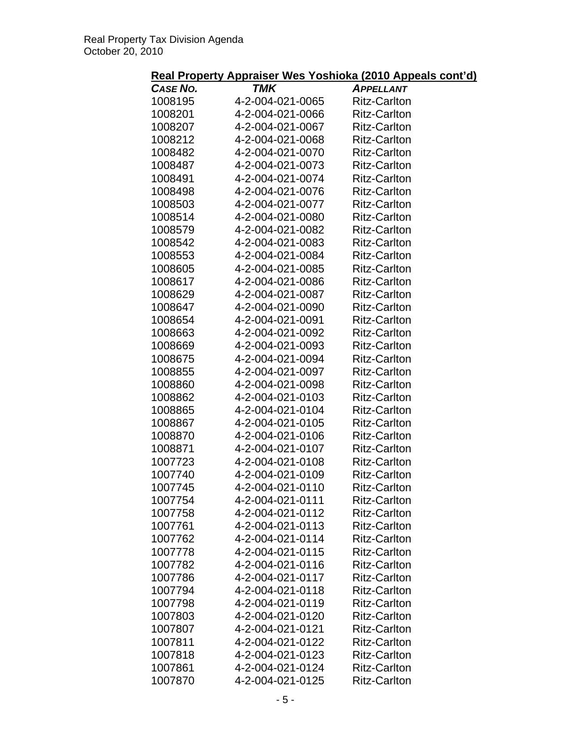# **Real Property Appraiser Wes Yoshioka (2010 Appeals cont'd)**

| CASE NO. | TMK              | <b>APPELLANT</b>    |
|----------|------------------|---------------------|
| 1008195  | 4-2-004-021-0065 | <b>Ritz-Carlton</b> |
| 1008201  | 4-2-004-021-0066 | <b>Ritz-Carlton</b> |
| 1008207  | 4-2-004-021-0067 | <b>Ritz-Carlton</b> |
| 1008212  | 4-2-004-021-0068 | <b>Ritz-Carlton</b> |
| 1008482  | 4-2-004-021-0070 | <b>Ritz-Carlton</b> |
| 1008487  | 4-2-004-021-0073 | <b>Ritz-Carlton</b> |
| 1008491  | 4-2-004-021-0074 | <b>Ritz-Carlton</b> |
| 1008498  | 4-2-004-021-0076 | <b>Ritz-Carlton</b> |
| 1008503  | 4-2-004-021-0077 | <b>Ritz-Carlton</b> |
| 1008514  | 4-2-004-021-0080 | <b>Ritz-Carlton</b> |
| 1008579  | 4-2-004-021-0082 | <b>Ritz-Carlton</b> |
| 1008542  | 4-2-004-021-0083 | <b>Ritz-Carlton</b> |
| 1008553  | 4-2-004-021-0084 | <b>Ritz-Carlton</b> |
| 1008605  | 4-2-004-021-0085 | <b>Ritz-Carlton</b> |
| 1008617  | 4-2-004-021-0086 | <b>Ritz-Carlton</b> |
| 1008629  | 4-2-004-021-0087 |                     |
|          | 4-2-004-021-0090 | <b>Ritz-Carlton</b> |
| 1008647  |                  | <b>Ritz-Carlton</b> |
| 1008654  | 4-2-004-021-0091 | <b>Ritz-Carlton</b> |
| 1008663  | 4-2-004-021-0092 | <b>Ritz-Carlton</b> |
| 1008669  | 4-2-004-021-0093 | <b>Ritz-Carlton</b> |
| 1008675  | 4-2-004-021-0094 | <b>Ritz-Carlton</b> |
| 1008855  | 4-2-004-021-0097 | <b>Ritz-Carlton</b> |
| 1008860  | 4-2-004-021-0098 | <b>Ritz-Carlton</b> |
| 1008862  | 4-2-004-021-0103 | <b>Ritz-Carlton</b> |
| 1008865  | 4-2-004-021-0104 | <b>Ritz-Carlton</b> |
| 1008867  | 4-2-004-021-0105 | <b>Ritz-Carlton</b> |
| 1008870  | 4-2-004-021-0106 | <b>Ritz-Carlton</b> |
| 1008871  | 4-2-004-021-0107 | <b>Ritz-Carlton</b> |
| 1007723  | 4-2-004-021-0108 | <b>Ritz-Carlton</b> |
| 1007740  | 4-2-004-021-0109 | <b>Ritz-Carlton</b> |
| 1007745  | 4-2-004-021-0110 | <b>Ritz-Carlton</b> |
| 1007754  | 4-2-004-021-0111 | <b>Ritz-Carlton</b> |
| 1007758  | 4-2-004-021-0112 | <b>Ritz-Carlton</b> |
| 1007761  | 4-2-004-021-0113 | <b>Ritz-Carlton</b> |
| 1007762  | 4-2-004-021-0114 | <b>Ritz-Carlton</b> |
| 1007778  | 4-2-004-021-0115 | <b>Ritz-Carlton</b> |
| 1007782  | 4-2-004-021-0116 | <b>Ritz-Carlton</b> |
| 1007786  | 4-2-004-021-0117 | <b>Ritz-Carlton</b> |
| 1007794  | 4-2-004-021-0118 | <b>Ritz-Carlton</b> |
| 1007798  | 4-2-004-021-0119 | <b>Ritz-Carlton</b> |
| 1007803  | 4-2-004-021-0120 | <b>Ritz-Carlton</b> |
| 1007807  | 4-2-004-021-0121 | <b>Ritz-Carlton</b> |
| 1007811  | 4-2-004-021-0122 | <b>Ritz-Carlton</b> |
| 1007818  | 4-2-004-021-0123 | <b>Ritz-Carlton</b> |
| 1007861  | 4-2-004-021-0124 | <b>Ritz-Carlton</b> |
| 1007870  | 4-2-004-021-0125 | <b>Ritz-Carlton</b> |
|          |                  |                     |